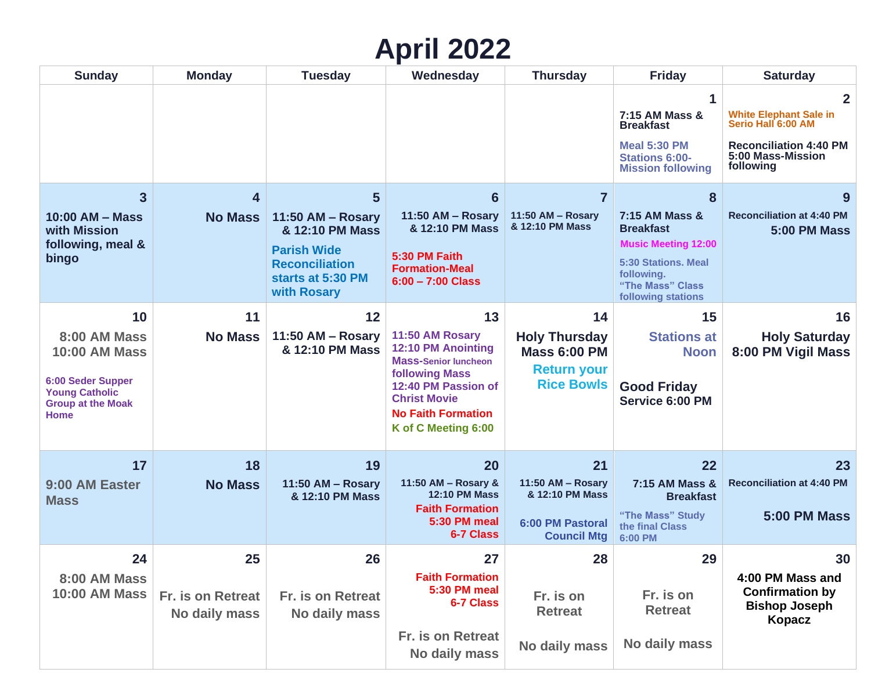## **April 2022**

| <b>Sunday</b>                                                                                                                              | <b>Monday</b>                            | <b>Tuesday</b>                                                                                                               | Wednesday                                                                                                                                                                                                    | <b>Thursday</b>                                                                              | <b>Friday</b>                                                                                                                                        | <b>Saturday</b>                                                                                                                        |
|--------------------------------------------------------------------------------------------------------------------------------------------|------------------------------------------|------------------------------------------------------------------------------------------------------------------------------|--------------------------------------------------------------------------------------------------------------------------------------------------------------------------------------------------------------|----------------------------------------------------------------------------------------------|------------------------------------------------------------------------------------------------------------------------------------------------------|----------------------------------------------------------------------------------------------------------------------------------------|
|                                                                                                                                            |                                          |                                                                                                                              |                                                                                                                                                                                                              |                                                                                              | 7:15 AM Mass &<br><b>Breakfast</b><br><b>Meal 5:30 PM</b><br><b>Stations 6:00-</b><br><b>Mission following</b>                                       | $\mathbf{2}$<br><b>White Elephant Sale in</b><br>Serio Hall 6:00 AM<br><b>Reconciliation 4:40 PM</b><br>5:00 Mass-Mission<br>following |
| $\overline{\mathbf{3}}$<br>10:00 AM - Mass<br>with Mission<br>following, meal &<br>bingo                                                   | 4<br><b>No Mass</b>                      | 5<br>11:50 AM - Rosary<br>& 12:10 PM Mass<br><b>Parish Wide</b><br><b>Reconciliation</b><br>starts at 5:30 PM<br>with Rosary | $6\phantom{1}6$<br>11:50 AM - Rosary<br>& 12:10 PM Mass<br>5:30 PM Faith<br><b>Formation-Meal</b><br>$6:00 - 7:00$ Class                                                                                     | 7<br>11:50 AM - Rosary<br>& 12:10 PM Mass                                                    | 8<br>7:15 AM Mass &<br><b>Breakfast</b><br><b>Music Meeting 12:00</b><br>5:30 Stations, Meal<br>following.<br>"The Mass" Class<br>following stations | 9<br><b>Reconciliation at 4:40 PM</b><br><b>5:00 PM Mass</b>                                                                           |
| 10<br>8:00 AM Mass<br><b>10:00 AM Mass</b><br><b>6:00 Seder Supper</b><br><b>Young Catholic</b><br><b>Group at the Moak</b><br><b>Home</b> | 11<br><b>No Mass</b>                     | 12<br>11:50 AM - Rosary<br>& 12:10 PM Mass                                                                                   | 13<br>11:50 AM Rosary<br><b>12:10 PM Anointing</b><br><b>Mass-Senior luncheon</b><br><b>following Mass</b><br>12:40 PM Passion of<br><b>Christ Movie</b><br><b>No Faith Formation</b><br>K of C Meeting 6:00 | 14<br><b>Holy Thursday</b><br><b>Mass 6:00 PM</b><br><b>Return your</b><br><b>Rice Bowls</b> | 15<br><b>Stations at</b><br><b>Noon</b><br><b>Good Friday</b><br>Service 6:00 PM                                                                     | 16<br><b>Holy Saturday</b><br>8:00 PM Vigil Mass                                                                                       |
| 17<br>9:00 AM Easter<br><b>Mass</b>                                                                                                        | 18<br><b>No Mass</b>                     | 19<br>11:50 AM - Rosary<br>& 12:10 PM Mass                                                                                   | 20<br>11:50 AM - Rosary &<br><b>12:10 PM Mass</b><br><b>Faith Formation</b><br>5:30 PM meal<br>6-7 Class                                                                                                     | 21<br>11:50 AM - Rosary<br>& 12:10 PM Mass<br>6:00 PM Pastoral<br><b>Council Mtg</b>         | 22<br>7:15 AM Mass &<br><b>Breakfast</b><br>"The Mass" Study<br>the final Class<br>6:00 PM                                                           | 23<br><b>Reconciliation at 4:40 PM</b><br><b>5:00 PM Mass</b>                                                                          |
| 24<br>8:00 AM Mass<br><b>10:00 AM Mass</b>                                                                                                 | 25<br>Fr. is on Retreat<br>No daily mass | 26<br>Fr. is on Retreat<br>No daily mass                                                                                     | 27<br><b>Faith Formation</b><br>5:30 PM meal<br>6-7 Class<br>Fr. is on Retreat<br>No daily mass                                                                                                              | 28<br>Fr. is on<br><b>Retreat</b><br>No daily mass                                           | 29<br>Fr. is on<br><b>Retreat</b><br>No daily mass                                                                                                   | 30<br>4:00 PM Mass and<br><b>Confirmation by</b><br><b>Bishop Joseph</b><br><b>Kopacz</b>                                              |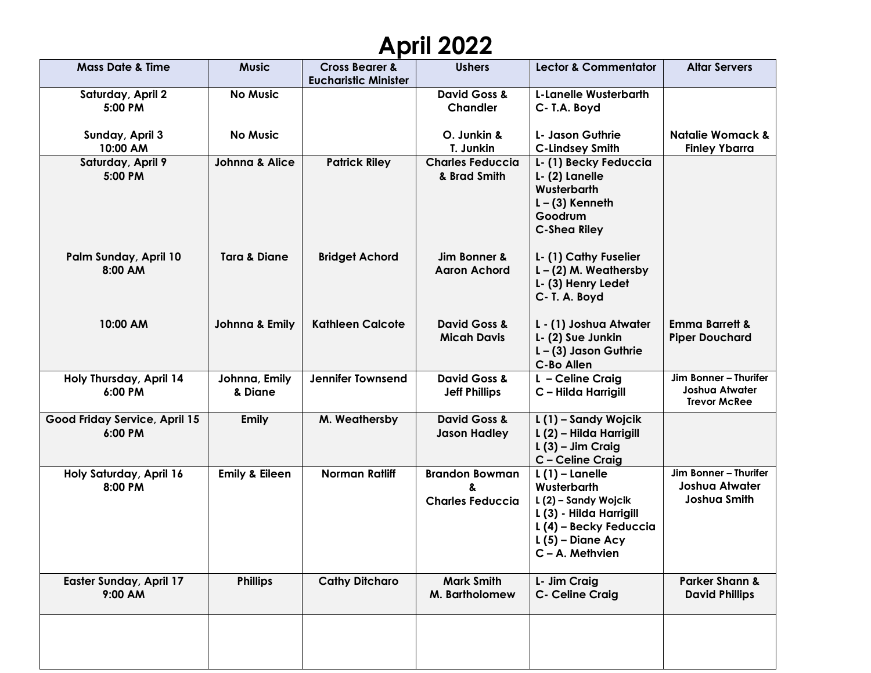## **April 2022**

| <b>Mass Date &amp; Time</b>               | <b>Music</b>              | <b>Cross Bearer &amp;</b><br><b>Eucharistic Minister</b> | <b>Ushers</b>                                    | <b>Lector &amp; Commentator</b>                                                                                                                       | <b>Altar Servers</b>                                                  |
|-------------------------------------------|---------------------------|----------------------------------------------------------|--------------------------------------------------|-------------------------------------------------------------------------------------------------------------------------------------------------------|-----------------------------------------------------------------------|
| Saturday, April 2<br>5:00 PM              | <b>No Music</b>           |                                                          | <b>David Goss &amp;</b><br><b>Chandler</b>       | <b>L-Lanelle Wusterbarth</b><br>C-T.A. Boyd                                                                                                           |                                                                       |
| Sunday, April 3<br>10:00 AM               | <b>No Music</b>           |                                                          | O. Junkin &<br>T. Junkin                         | L- Jason Guthrie<br><b>C-Lindsey Smith</b>                                                                                                            | <b>Natalie Womack &amp;</b><br><b>Finley Ybarra</b>                   |
| Saturday, April 9<br>5:00 PM              | <b>Johnna &amp; Alice</b> | <b>Patrick Riley</b>                                     | <b>Charles Feduccia</b><br>& Brad Smith          | L-(1) Becky Feduccia<br>L- (2) Lanelle<br>Wusterbarth<br>$L - (3)$ Kenneth<br>Goodrum<br><b>C-Shea Riley</b>                                          |                                                                       |
| Palm Sunday, April 10<br>8:00 AM          | <b>Tara &amp; Diane</b>   | <b>Bridget Achord</b>                                    | Jim Bonner &<br><b>Aaron Achord</b>              | L- (1) Cathy Fuselier<br>$L - (2)$ M. Weathersby<br>L- (3) Henry Ledet<br>C- T. A. Boyd                                                               |                                                                       |
| 10:00 AM                                  | Johnna & Emily            | <b>Kathleen Calcote</b>                                  | <b>David Goss &amp;</b><br><b>Micah Davis</b>    | L - (1) Joshua Atwater<br>L- (2) Sue Junkin<br>$L - (3)$ Jason Guthrie<br><b>C-Bo Allen</b>                                                           | <b>Emma Barrett &amp;</b><br><b>Piper Douchard</b>                    |
| Holy Thursday, April 14<br>6:00 PM        | Johnna, Emily<br>& Diane  | <b>Jennifer Townsend</b>                                 | <b>David Goss &amp;</b><br><b>Jeff Phillips</b>  | L - Celine Craig<br>C - Hilda Harrigill                                                                                                               | Jim Bonner - Thurifer<br><b>Joshua Atwater</b><br><b>Trevor McRee</b> |
| Good Friday Service, April 15<br>6:00 PM  | <b>Emily</b>              | M. Weathersby                                            | <b>David Goss &amp;</b><br><b>Jason Hadley</b>   | L(1) - Sandy Wojcik<br>L (2) - Hilda Harrigill<br>$L(3)$ – Jim Craig<br>C - Celine Craig                                                              |                                                                       |
| Holy Saturday, April 16<br>8:00 PM        | <b>Emily &amp; Eileen</b> | <b>Norman Ratliff</b>                                    | <b>Brandon Bowman</b><br><b>Charles Feduccia</b> | $L(1)$ – Lanelle<br>Wusterbarth<br>L (2) - Sandy Wojcik<br>L (3) - Hilda Harrigill<br>L (4) – Becky Feduccia<br>$L(5)$ – Diane Acy<br>C - A. Methvien | Jim Bonner - Thurifer<br><b>Joshua Atwater</b><br>Joshua Smith        |
| <b>Easter Sunday, April 17</b><br>9:00 AM | <b>Phillips</b>           | <b>Cathy Ditcharo</b>                                    | <b>Mark Smith</b><br>M. Bartholomew              | L- Jim Craig<br>C- Celine Craig                                                                                                                       | <b>Parker Shann &amp;</b><br><b>David Phillips</b>                    |
|                                           |                           |                                                          |                                                  |                                                                                                                                                       |                                                                       |